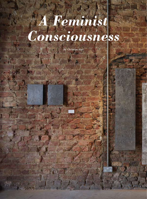## *A Feminist Consciousness*

By Christine Han

**50 ASIAN ART NEWS** Volume 29 Number 4, 2019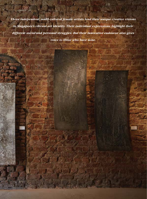*Three independent, multi-cultural female artists lend their unique creative visions to Singapore's vibrant art identity. Their individual expressions highlight their different social and personal struggles. But their innovative endeavor also gives voice to those who have none.*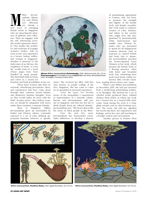**Ma**ithra Jeevan-<br>
Vij, and Kiwha<br>
Lee Blocman<br>
are among a<br>
new wave of emerging antham, Alpana Vij, and Kiwha Lee Blocman are among a

female artists in Singapore who are attracting the attention of galleries and collectors. Their art engages with the self, referencing everyday world experience directly. One studies the aesthetics and eroticism of younger women's bodies, with its roots in her own experience as a brown, Indian, millennial woman in Singapore. Another is attracted to the dark tones of an old tree, the roughness of stone, or even the scruffy look of a book whose pages have been handled by many people. The third finds faith in forms and colors in a search for

freedom and fresh possibilities in her art. These three women take their art seriously, introducing perceptions, ideas, and experiences that have come about through their common sexual identity and distinctive feminist thoughts. Even so, they would rather do away with the label "women artists": they believe women's art should be integrated with men's rather than constitute a separate identity.

Born in Singapore, Mithra Jeevanantham grew up surrounded by Indian and Chinese culture, constantly exposed to a set of rules defining appropriate feminine behavior or "gender



Above: **Mithra Jeevanantham,**Swimmingly, 2018, silkscreen print, 56 x 73 cm. Previous pages: An installation view of **Alpana Vij**'s solo show, *Wood Metal Stone,* 2019. All images: Courtesy of each Artist.

norm." She received her BFA, with first class honors, at Lasalle College of the Arts, Singapore. She has come to value an art grounded in personal experience.

"Over the years, I've become aware of the inequalities I experienced as representative of a minority culture. Racism and discrimination still persist in Singapore and that has led me to think deeply about my cultural identity," Jeevanantham says. "My brown skin is like the status of black people in the West."

Over the past few years, Jeevanantham has transcended essentialist influences, to develop a rhetoric of printmaking appropriate to women, and, not least, to promote the strength and dignity of the female body and female sexuality. Her work tends to embrace women of color, lesbians, and others in her society who might have felt marginalized by predominantly white, heterosexual, and middle class Chinese females who are presumed to speak for all Singaporean women's interests. And, in response to cultural beliefs that body hair is shameful, Jeevanantham invented the brown-skinned Lotus Chimera in her work, which pictures the female body as a fleeting presence, often with holes and bountiful body hair, mimicking lotus pods/seed heads within numerous little circular cham-

bers, sending shivers down one's spine.

When I met Mithra Jeevanantham in December 2019, she had just returned from a month-long printmaking residency in Shanghai. She showed me a set of colorful works produced there, entitled *Positive Thots* (2019), in which one work has a bonsai tree in a surreal hilly landscape: lying among the roots is a wriggling octopus and an alien-looking creature. The scene, she told me, signified her recent trip there, her experiences and feelings, and in her own self-searching in a foreign context and environment.

Another picture in *Positive Thots* 



**Mithra Jeevanantham,** Positive thots, 2019, digital illustration, 53 x 53 cm. **Mithra Jeevanantham,** Positive thots, 2019, digital illustration, 53 x 53 cm.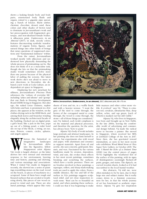shows a leaking female body and body parts, exteriorized body fluids and organs, joined to a gigantic pipe sprouting a bunch of lotuses. Burnt umber, chestnut, chocolate, dessert sand, these colors and other shades of brown tend to dominate in Jeevanantham's work and her preoccupation with fragmented, grotesque, and non-idealized female bodies. A silkscreen print, *Undercovers, in an Almond* (2017), in dark, moody colors, features disconcerting symbolic transformations of organic forms, figures, and natural things into other kinds of beings that raises questions of suppressed emotions and "fundamental darkness" within.

From the outset, Jeevanantham worked mostly with silkscreen and understood how physically demanding the whole process of printmaking can be. She does not think of it as a masculine task, though she lets on that the printmaking studio would sometimes involve more than one person because of the physical labor of pulling the screens. Her latest work shows she's not afraid to move in new directions; in December, she debuted a new work at Coda Culture, an independent art space in Singapore.

Displaying her new penchant for silliness, Jeevanantham's *Precious Thots* references the "culture of everyday life" including "jokes and idioms" and "gossip" that one finds in Housing Development Board (HDB) living in Singapore. Her alter ego, the naked Lotus Chimera, replete with holes and hair, is prominent in a few places; she appears at the window, on the clothes-drying rack in the HDB block, and among thick leaves and branches winding elegantly along the architectural facade of the building. Decked out on digital print, a girl's head, like a jack in the box, pops up out of a fishing pond; a toilet bowl sits on top of the block; a swing, an eye, stars, flowers, comets, circles, spheres, and angels appear.

**WE ARE SET ASSEM** Individual or imaginative landscapes by Jeevanantham delve into the figurative, fellow Singaporean artist Alpana Vij's work is largely abstract, as the latter imaginative landscapes by Jeevanantham delve into the figurative, fellow Singaporean artist Alpana derives her own sensual and emotional response to her environment, layering time and history, painting and drawing, and various meanings and associations. When I visited Vij's studio in Singapore recently, she showed me a series of paintings resembling stones on the road, wood on the beach, or pieces of machinery in a scrapyard. Some of them have rough and fissured surfaces that are eroded or weathering slowly, like pieces of raw wood exposed to wind and rain. There are also metal paintings, which appear like rusty



**Mithra Jeevanantham,** Undercovers, in an almond, 2017, silkscreen print, 80 x 75 cm.

sheets of iron and tin, in a waffle finish and with a heavier texture. "I want the grey of the steel to come through; the brown of the corrugated metal to come through, the wood to come through, the stone—all of those things are considered," says Vij. Indeed, each work's emphasis is on the material and physical processes, and therefore the question, for the artist, has always been "how to paint."

Alpana Vij's body of work includes large portraits and abstract landscapes. In her painting she does not limit herself to canvas, but experiments also with wood and paper, with aluminum and ceramics as support materials. Apart from oil and acrylic, she uses concrete, gold paint, bitumen, and wax. Fascinated by the various landforms made by erosion, deposition, wind, and rain, she evokes these effects in her most recent paintings, sometimes breaking and scratching the surfaces, which have a tactile presence. There are no brushes involved in these paintings: a squeegee, rollers, and sharp mark-making tools are used to apply the colors. From a middle distance, the rise and fall of the surface in Vij's paintings suggests sculptural relief, and yet close inspection reveals none. "Rust can be so beautiful on metal, and when painting these surfaces, I could see that it was beginning to make

little nuances and other colors more visible. It evolved," says Vij. "There is crimson red, cerulean, ultramarine blue, deep yellow, ochre, and sap green, [each of which] is masked out but still visible."

Alpana Vij, who lives in Singapore, was born and brought up in New Delhi. In the late 2000s, leaving the comfortable world of advertising and commercial design behind, Vij made the radical move to become a painter. She moved to Singapore, where received her MFA at LASALLE College of the Arts in 2017. Since then, she has gravitated toward minimalism, as seen in her most recent solo exhibition *Wood Metal Stone* at Ultra Super New Gallery, in October 2019. The title *I Heard the Echo of a Distant Time* (2018) (*see* the central pieces of pages 50-51) highlights the weathered feel of the surface of this painting, with its signs of disintegration—seemingly flecked-off paint, gouges, and stains. The diptych, on curved wooden sheets, looked as if it had succumbed to the local humid weather.

Her abstracts, Vij told me, were often mistaken to be by men, due to their large size and subject matter. But it really comes down to a feminist consciousness for her, in that the whole journey of art has functioned as aesthetic experience. Alpana Vij gets her inspiration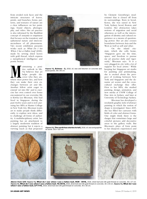from eroded rock faces and the intricate structures of leaves, petals, and branches; forms, patterns, and textures of nature are a clear influences on her paintings, found objects, photography, and video. Her art practice is also informed by the Buddhist concept of *sunyata* or emptiness that focuses on the transitory and ephemeral nature and interconnectedness of all phenomena. Vij's recent exhibition presents works such as *What Do I See When I See a Fallen Leaf* (2018), made by sewing dried leaves with gold thread, which express a metaphysical intelligence and poetic beauty.

**Ma** a positive outlook in life, Vij believes that art helps people discover who they are, where their power lies, and how tive outlook in life, Vij believes that art helps people discover who they are, they can make their own exchanges between art and life. Another fellow artist eager to extend 'art into life' and to exercise her own control over forms encountered in our everyday life is Kiwha Lee Blocman, who had lived in Singapore during the past twelve years and is now pursuing her MFA at Hunter College in New York City. Blocman wants art to make people think differently, to explore new ideas, and to challenge all forms of authority. A multidisciplinary artist, her painting has an attachment to a largely modernist tradition of abstract painting but it rejects a viewing (such as that proposed



**Alpana Vij,** Echoes - 2, 2018, oil, wax and bitumen on concrete and wood panels, 98 x 85 cm.



**Alpana Vij,** The earth has stories to tell, 2018, oil, wax and graphite on wood, 152 x 152 cm.

by Clement Greenberg's modernism) that is closed off from its surroundings. Born in Seoul, Korea, she was raised in New York, Sydney, Seoul, Boston, and London. Her abstraction takes notions of migration and racial otherness as well as the interrogation of identity and cultural experience as a means of questioning power. Her art also crosses boundaries between Asia and the West as well as self and other.

On the island citystate, which she calls home, "Singapore gave me the time, space, and freedom to pursue my art practice daily and vigorously," Blocman says. "It is a very plugged-in city with a lot of support for local artists." While keeping her Singapore art studio for painting and printmaking, she is excited about the prospect of working between New York and Singapore and the dynamic art scenes and the crosscultural exchange they offer. Prior to her MFA, she studied painting, design, animation, and new media at UNSW College of Fine Arts in Sydney, and later at University of Technology Sydney.

Blocman has developed a resolutely graphic style of abstract painting in which the notion of shape is investigated. Since 2015, she has filled her canvases with fields of color and abstract forms. One might think there is the danger that sometimes large and colorful pictures add decorative areas to the gallery walls. But Blocman's plays of form point to her diasporic experiences and



Above from left: Alpana Vij, What do I see when I see a fallen leaf, HCR - 0518, 2018, dried leaf and 24k gold thread on concrete, 30 x 27 cm. **Alpana Vij,** What do I see when I see a fallen leaf, TA-0618, 2018, dried leaf and 24k gold thread on concrete, 30 x 30 cm. **Alpana Vij,** What do I see when I see a fallen leaf, LP-1119, 2019, dried leaf and 24k gold thread on concrete, 40 x 30 cm.